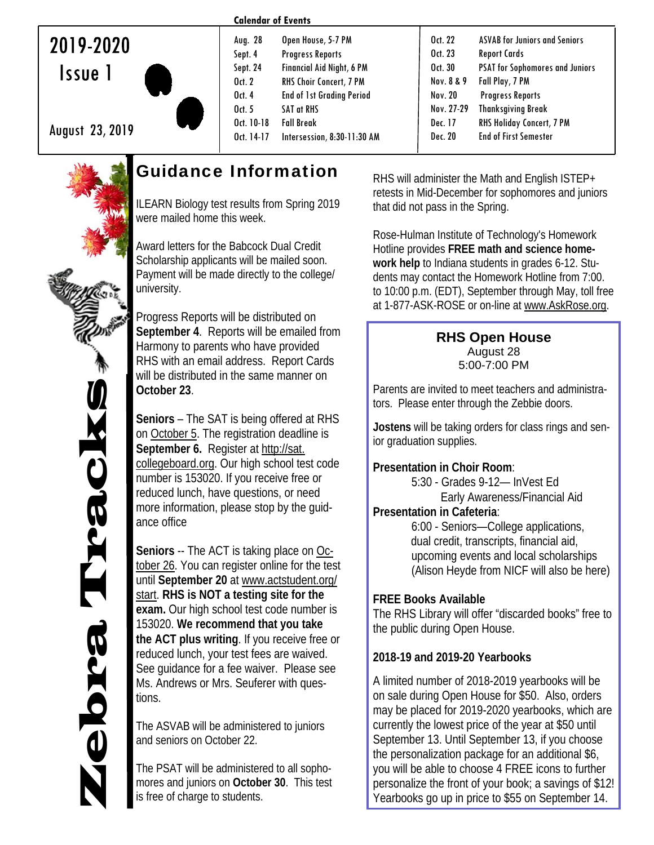|                 | <b>Calendar of Events</b> |                                  |            |                                        |
|-----------------|---------------------------|----------------------------------|------------|----------------------------------------|
| 2019-2020       | Aug. 28                   | Open House, 5-7 PM               | Oct. 22    | <b>ASVAB for Juniors and Seniors</b>   |
|                 | Sept. 4                   | <b>Progress Reports</b>          | Oct. 23    | <b>Report Cards</b>                    |
| <b>SSUE</b>     | Sept. 24                  | <b>Financial Aid Night, 6 PM</b> | Oct. 30    | <b>PSAT for Sophomores and Juniors</b> |
|                 | 0 <sub>ct.</sub> 2        | <b>RHS Choir Concert, 7 PM</b>   | Nov. 8 & 9 | Fall Play, 7 PM                        |
|                 | Oct. 4                    | <b>End of 1st Grading Period</b> | Nov. 20    | <b>Progress Reports</b>                |
|                 | Oct. $5$                  | <b>SAT at RHS</b>                | Nov. 27-29 | <b>Thanksgiving Break</b>              |
|                 | Oct. 10-18                | <b>Fall Break</b>                | Dec. 17    | <b>RHS Holiday Concert, 7 PM</b>       |
| August 23, 2019 | Oct. 14-17                | Intersession, 8:30-11:30 AM      | Dec. 20    | <b>End of First Semester</b>           |
|                 |                           |                                  |            |                                        |



# Guidance Information

ILEARN Biology test results from Spring 2019 were mailed home this week.

Award letters for the Babcock Dual Credit Scholarship applicants will be mailed soon. Payment will be made directly to the college/ university.

Progress Reports will be distributed on **September 4**. Reports will be emailed from Harmony to parents who have provided RHS with an email address. Report Cards will be distributed in the same manner on **October 23**.

**Seniors** – The SAT is being offered at RHS on **October 5**. The registration deadline is **September 6.** Register at http://sat. collegeboard.org. Our high school test code number is 153020. If you receive free or reduced lunch, have questions, or need more information, please stop by the guidance office

**Seniors** -- The ACT is taking place on October 26. You can register online for the test until **September 20** at www.actstudent.org/ start. **RHS is NOT a testing site for the exam.** Our high school test code number is 153020. **We recommend that you take the ACT plus writing**. If you receive free or reduced lunch, your test fees are waived. See guidance for a fee waiver. Please see Ms. Andrews or Mrs. Seuferer with questions.

The ASVAB will be administered to juniors and seniors on October 22.

The PSAT will be administered to all sophomores and juniors on **October 30**. This test is free of charge to students.

RHS will administer the Math and English ISTEP+ retests in Mid-December for sophomores and juniors that did not pass in the Spring.

Rose-Hulman Institute of Technology's Homework Hotline provides **FREE math and science homework help** to Indiana students in grades 6-12. Students may contact the Homework Hotline from 7:00. to 10:00 p.m. (EDT), September through May, toll free at 1-877-ASK-ROSE or on-line at www.AskRose.org.

#### **RHS Open House**  August 28

5:00-7:00 PM

Parents are invited to meet teachers and administrators. Please enter through the Zebbie doors.

**Jostens** will be taking orders for class rings and senior graduation supplies.

### **Presentation in Choir Room**:

 5:30 - Grades 9-12— InVest Ed Early Awareness/Financial Aid

#### **Presentation in Cafeteria**:

 6:00 - Seniors—College applications, dual credit, transcripts, financial aid, upcoming events and local scholarships (Alison Heyde from NICF will also be here)

### **FREE Books Available**

The RHS Library will offer "discarded books" free to the public during Open House.

# 2018-19 and 2019-20 Yearbooks

on sale during Open House for \$50. Also, orders A limited number of 2018-2019 yearbooks will be may be placed for 2019-2020 yearbooks, which are currently the lowest price of the year at \$50 until September 13. Until September 13, if you choose the personalization package for an additional \$6, you will be able to choose 4 FREE icons to further personalize the front of your book; a savings of \$12! Yearbooks go up in price to \$55 on September 14.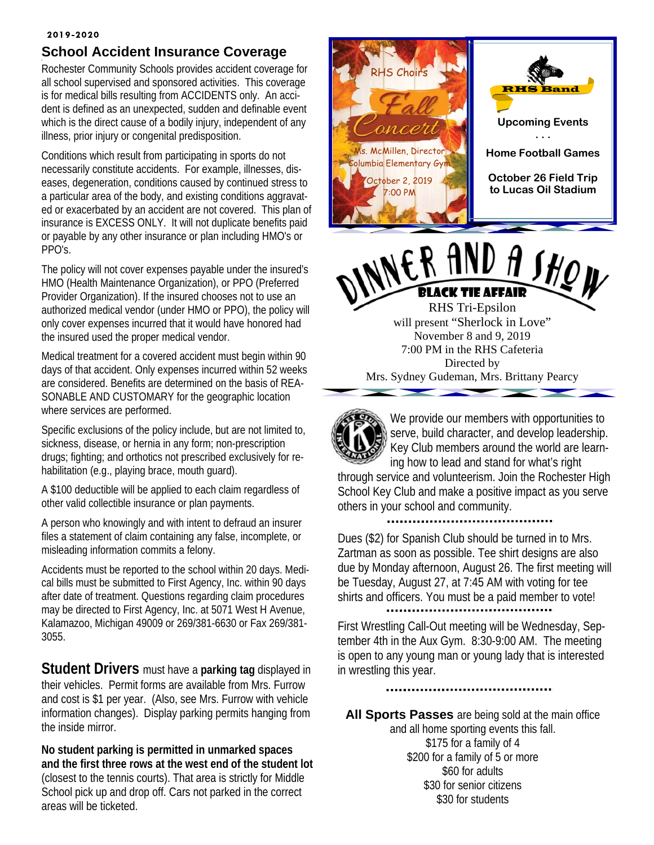#### 2019-2020

#### **School Accident Insurance Coverage**

Rochester Community Schools provides accident coverage for all school supervised and sponsored activities. This coverage is for medical bills resulting from ACCIDENTS only. An accident is defined as an unexpected, sudden and definable event which is the direct cause of a bodily injury, independent of any illness, prior injury or congenital predisposition.

Conditions which result from participating in sports do not necessarily constitute accidents. For example, illnesses, diseases, degeneration, conditions caused by continued stress to a particular area of the body, and existing conditions aggravated or exacerbated by an accident are not covered. This plan of insurance is EXCESS ONLY. It will not duplicate benefits paid or payable by any other insurance or plan including HMO's or PPO's.

The policy will not cover expenses payable under the insured's HMO (Health Maintenance Organization), or PPO (Preferred Provider Organization). If the insured chooses not to use an authorized medical vendor (under HMO or PPO), the policy will only cover expenses incurred that it would have honored had the insured used the proper medical vendor.

Medical treatment for a covered accident must begin within 90 days of that accident. Only expenses incurred within 52 weeks are considered. Benefits are determined on the basis of REA-SONABLE AND CUSTOMARY for the geographic location where services are performed.

Specific exclusions of the policy include, but are not limited to, sickness, disease, or hernia in any form; non-prescription drugs; fighting; and orthotics not prescribed exclusively for rehabilitation (e.g., playing brace, mouth guard).

A \$100 deductible will be applied to each claim regardless of other valid collectible insurance or plan payments.

A person who knowingly and with intent to defraud an insurer files a statement of claim containing any false, incomplete, or misleading information commits a felony.

Accidents must be reported to the school within 20 days. Medical bills must be submitted to First Agency, Inc. within 90 days after date of treatment. Questions regarding claim procedures may be directed to First Agency, Inc. at 5071 West H Avenue, Kalamazoo, Michigan 49009 or 269/381-6630 or Fax 269/381- 3055.

**Student Drivers** must have a **parking tag** displayed in their vehicles. Permit forms are available from Mrs. Furrow and cost is \$1 per year. (Also, see Mrs. Furrow with vehicle information changes). Display parking permits hanging from the inside mirror.

**No student parking is permitted in unmarked spaces and the first three rows at the west end of the student lot**  (closest to the tennis courts). That area is strictly for Middle School pick up and drop off. Cars not parked in the correct areas will be ticketed.



will present "Sherlock in Love" November 8 and 9, 2019 7:00 PM in the RHS Cafeteria Directed by Mrs. Sydney Gudeman, Mrs. Brittany Pearcy



We provide our members with opportunities to serve, build character, and develop leadership. Key Club members around the world are learning how to lead and stand for what's right

**Contract Contract Contract Contract Contract Contract Contract Contract Contract Contract Contract Contract Contract Contract Contract Contract Contract Contract Contract Contract Contract Contract Contract Contract Contr** 

through service and volunteerism. Join the Rochester High School Key Club and make a positive impact as you serve others in your school and community.

Dues (\$2) for Spanish Club should be turned in to Mrs. Zartman as soon as possible. Tee shirt designs are also due by Monday afternoon, August 26. The first meeting will be Tuesday, August 27, at 7:45 AM with voting for tee shirts and officers. You must be a paid member to vote!

First Wrestling Call-Out meeting will be Wednesday, September 4th in the Aux Gym. 8:30-9:00 AM. The meeting is open to any young man or young lady that is interested in wrestling this year.

.......................

**All Sports Passes** are being sold at the main office and all home sporting events this fall. \$175 for a family of 4 \$200 for a family of 5 or more \$60 for adults \$30 for senior citizens \$30 for students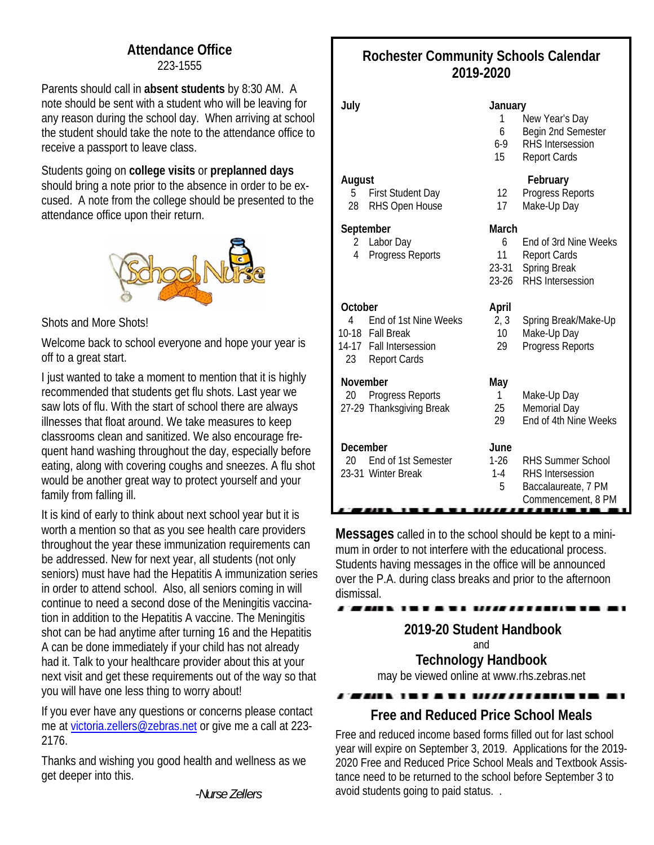# **Attendance Office**

223-1555

Parents should call in **absent students** by 8:30 AM. A note should be sent with a student who will be leaving for any reason during the school day. When arriving at school the student should take the note to the attendance office to receive a passport to leave class.

Students going on **college visits** or **preplanned days**  should bring a note prior to the absence in order to be excused. A note from the college should be presented to the attendance office upon their return.



#### Shots and More Shots!

Welcome back to school everyone and hope your year is off to a great start.

I just wanted to take a moment to mention that it is highly recommended that students get flu shots. Last year we saw lots of flu. With the start of school there are always illnesses that float around. We take measures to keep classrooms clean and sanitized. We also encourage frequent hand washing throughout the day, especially before eating, along with covering coughs and sneezes. A flu shot would be another great way to protect yourself and your family from falling ill.

It is kind of early to think about next school year but it is worth a mention so that as you see health care providers throughout the year these immunization requirements can be addressed. New for next year, all students (not only seniors) must have had the Hepatitis A immunization series in order to attend school. Also, all seniors coming in will continue to need a second dose of the Meningitis vaccination in addition to the Hepatitis A vaccine. The Meningitis shot can be had anytime after turning 16 and the Hepatitis A can be done immediately if your child has not already had it. Talk to your healthcare provider about this at your next visit and get these requirements out of the way so that you will have one less thing to worry about!

If you ever have any questions or concerns please contact me at victoria.zellers@zebras.net or give me a call at 223- 2176.

Thanks and wishing you good health and wellness as we get deeper into this.

*-Nurse Zellers*

# **Rochester Community Schools Calendar 2019-2020**

- 
- 

23 Report Cards

. . . . .

- **July January**
	- 1 New Year's Day
	- 6 Begin 2nd Semester
	- 6-9 RHS Intersession
	- 15 Report Cards

#### August **August February**

- 5 First Student Day 12 Progress Reports
- 28 RHS Open House 17 Make-Up Day

#### **September March**

- 2 Labor Day 6 End of 3rd Nine Weeks
- 4 Progress Reports 11 Report Cards
	- 23-31 Spring Break
	- 23-26 RHS Intersession

#### **October April**

- 4 End of 1st Nine Weeks 2, 3 Spring Break/Make-Up
- 10-18 Fall Break 10 Make-Up Day
- 14-17 Fall Intersession 29 Progress Reports

#### **November May**

- 20 Progress Reports 1 Make-Up Day
- 27-29 Thanksgiving Break 25 Memorial Day
	- 29 End of 4th Nine Weeks

#### **December June**

- 20 End of 1st Semester 1-26 RHS Summer School
- 23-31 Winter Break 1-4 RHS Intersession
	- 5 Baccalaureate, 7 PM

Commencement, 8 PM

**Messages** called in to the school should be kept to a minimum in order to not interfere with the educational process. Students having messages in the office will be announced over the P.A. during class breaks and prior to the afternoon dismissal.

## **2019-20 Student Handbook**  and

. . . . . *. . . . .* .

# **Technology Handbook**

may be viewed online at www.rhs.zebras.net

# , **, , , , , , , , , , , , , ,** ,

# **Free and Reduced Price School Meals**

Free and reduced income based forms filled out for last school year will expire on September 3, 2019. Applications for the 2019- 2020 Free and Reduced Price School Meals and Textbook Assistance need to be returned to the school before September 3 to avoid students going to paid status. .